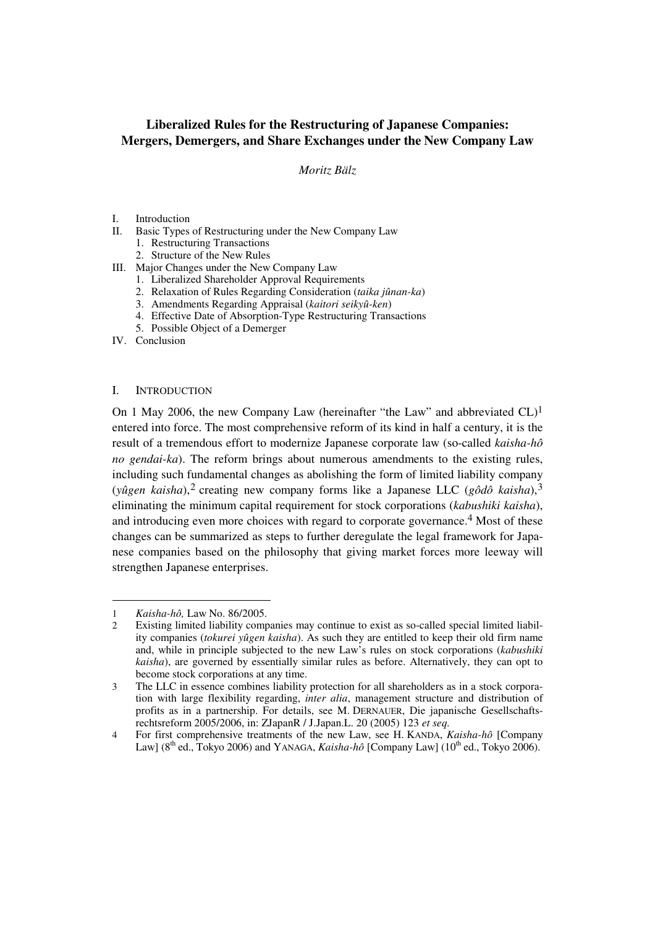# **Liberalized Rules for the Restructuring of Japanese Companies: Mergers, Demergers, and Share Exchanges under the New Company Law**

# *Moritz Bälz*

- I. Introduction
- II. Basic Types of Restructuring under the New Company Law
	- 1. Restructuring Transactions
	- 2. Structure of the New Rules
- III. Major Changes under the New Company Law
	- 1. Liberalized Shareholder Approval Requirements
	- 2. Relaxation of Rules Regarding Consideration (*taika jûnan-ka*)
	- 3. Amendments Regarding Appraisal (*kaitori seikyû-ken*)
	- 4. Effective Date of Absorption-Type Restructuring Transactions
	- 5. Possible Object of a Demerger

IV. Conclusion

# I. INTRODUCTION

On 1 May 2006, the new Company Law (hereinafter "the Law" and abbreviated CL)<sup>1</sup> entered into force. The most comprehensive reform of its kind in half a century, it is the result of a tremendous effort to modernize Japanese corporate law (so-called *kaisha-hô no gendai-ka*). The reform brings about numerous amendments to the existing rules, including such fundamental changes as abolishing the form of limited liability company (*yûgen kaisha*),2 creating new company forms like a Japanese LLC (*gôdô kaisha*),3 eliminating the minimum capital requirement for stock corporations (*kabushiki kaisha*), and introducing even more choices with regard to corporate governance.<sup>4</sup> Most of these changes can be summarized as steps to further deregulate the legal framework for Japanese companies based on the philosophy that giving market forces more leeway will strengthen Japanese enterprises.

<sup>1</sup> *Kaisha-hô,* Law No. 86/2005.

<sup>2</sup> Existing limited liability companies may continue to exist as so-called special limited liability companies (*tokurei yûgen kaisha*). As such they are entitled to keep their old firm name and, while in principle subjected to the new Law's rules on stock corporations (*kabushiki kaisha*), are governed by essentially similar rules as before. Alternatively, they can opt to become stock corporations at any time.

<sup>3</sup> The LLC in essence combines liability protection for all shareholders as in a stock corporation with large flexibility regarding, *inter alia*, management structure and distribution of profits as in a partnership. For details, see M. DERNAUER, Die japanische Gesellschaftsrechtsreform 2005/2006, in: ZJapanR / J.Japan.L. 20 (2005) 123 *et seq.*

<sup>4</sup> For first comprehensive treatments of the new Law, see H. KANDA, *Kaisha-hô* [Company Law]  $(8<sup>th</sup>$  ed., Tokyo 2006) and YANAGA, *Kaisha-hô* [Company Law]  $(10<sup>th</sup>$  ed., Tokyo 2006).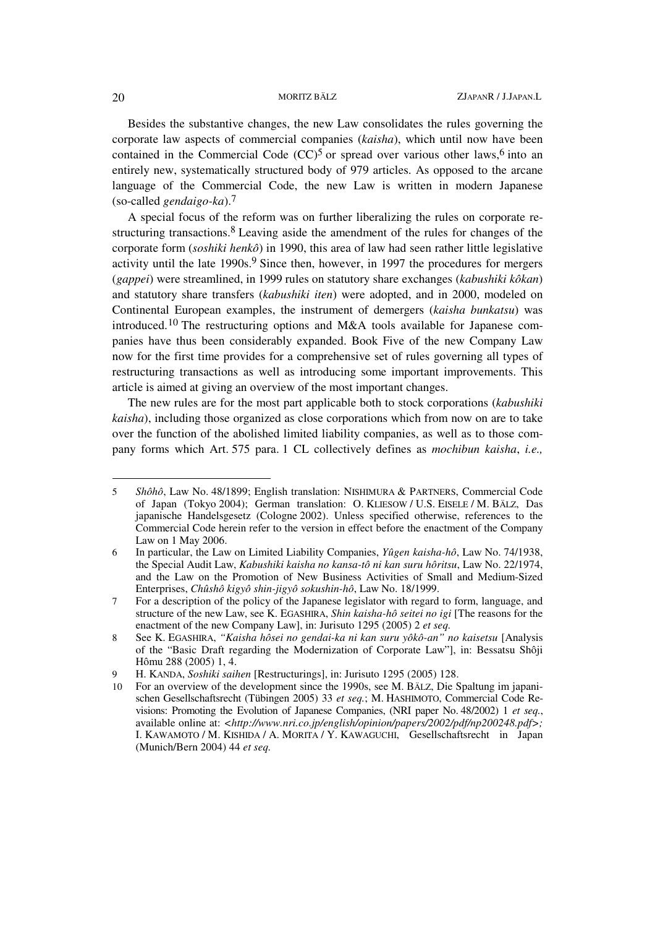Besides the substantive changes, the new Law consolidates the rules governing the corporate law aspects of commercial companies (*kaisha*), which until now have been contained in the Commercial Code  $(CC)^5$  or spread over various other laws,<sup>6</sup> into an entirely new, systematically structured body of 979 articles. As opposed to the arcane language of the Commercial Code, the new Law is written in modern Japanese (so-called *gendaigo-ka*).7

A special focus of the reform was on further liberalizing the rules on corporate restructuring transactions.8 Leaving aside the amendment of the rules for changes of the corporate form (*soshiki henkô*) in 1990, this area of law had seen rather little legislative activity until the late  $1990s<sup>9</sup>$  Since then, however, in 1997 the procedures for mergers (*gappei*) were streamlined, in 1999 rules on statutory share exchanges (*kabushiki kôkan*) and statutory share transfers (*kabushiki iten*) were adopted, and in 2000, modeled on Continental European examples, the instrument of demergers (*kaisha bunkatsu*) was introduced.<sup>10</sup> The restructuring options and M&A tools available for Japanese companies have thus been considerably expanded. Book Five of the new Company Law now for the first time provides for a comprehensive set of rules governing all types of restructuring transactions as well as introducing some important improvements. This article is aimed at giving an overview of the most important changes.

The new rules are for the most part applicable both to stock corporations (*kabushiki kaisha*), including those organized as close corporations which from now on are to take over the function of the abolished limited liability companies, as well as to those company forms which Art. 575 para. 1 CL collectively defines as *mochibun kaisha*, *i.e.,*

<sup>5</sup> *Shôhô*, Law No. 48/1899; English translation: NISHIMURA & PARTNERS, Commercial Code of Japan (Tokyo 2004); German translation: O. KLIESOW / U.S. EISELE / M. BÄLZ, Das japanische Handelsgesetz (Cologne 2002). Unless specified otherwise, references to the Commercial Code herein refer to the version in effect before the enactment of the Company Law on 1 May 2006.

<sup>6</sup> In particular, the Law on Limited Liability Companies, *Yûgen kaisha-hô*, Law No. 74/1938, the Special Audit Law, *Kabushiki kaisha no kansa-tô ni kan suru hôritsu*, Law No. 22/1974, and the Law on the Promotion of New Business Activities of Small and Medium-Sized Enterprises, *Chûshô kigyô shin-jigyô sokushin-hô*, Law No. 18/1999.

<sup>7</sup> For a description of the policy of the Japanese legislator with regard to form, language, and structure of the new Law, see K. EGASHIRA, *Shin kaisha-hô seitei no igi* [The reasons for the enactment of the new Company Law], in: Jurisuto 1295 (2005) 2 *et seq.*

<sup>8</sup> See K. EGASHIRA, *"Kaisha hôsei no gendai-ka ni kan suru yôkô-an" no kaisetsu* [Analysis of the "Basic Draft regarding the Modernization of Corporate Law"], in: Bessatsu Shôji Hômu 288 (2005) 1, 4.

<sup>9</sup> H. KANDA, *Soshiki saihen* [Restructurings], in: Jurisuto 1295 (2005) 128.

<sup>10</sup> For an overview of the development since the 1990s, see M. BÄLZ, Die Spaltung im japanischen Gesellschaftsrecht (Tübingen 2005) 33 *et seq.*; M. HASHIMOTO, Commercial Code Revisions: Promoting the Evolution of Japanese Companies, (NRI paper No. 48/2002) 1 *et seq.*, available online at: *<http://www.nri.co.jp/english/opinion/papers/2002/pdf/np200248.pdf>;* I. KAWAMOTO / M. KISHIDA / A. MORITA / Y. KAWAGUCHI, Gesellschaftsrecht in Japan (Munich/Bern 2004) 44 *et seq.*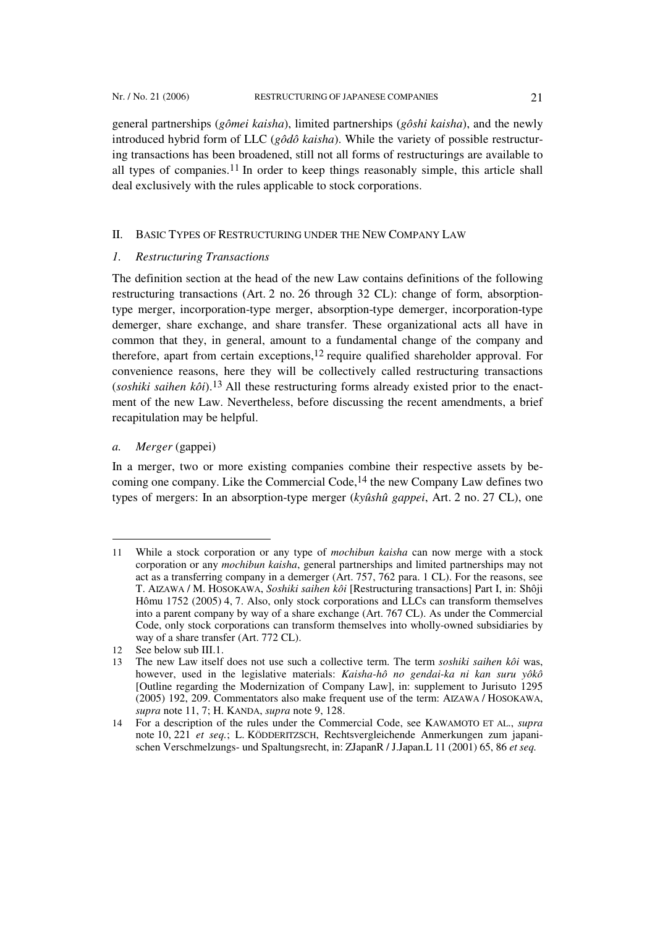general partnerships (*gômei kaisha*), limited partnerships (*gôshi kaisha*), and the newly introduced hybrid form of LLC (*gôdô kaisha*). While the variety of possible restructuring transactions has been broadened, still not all forms of restructurings are available to all types of companies.<sup>11</sup> In order to keep things reasonably simple, this article shall deal exclusively with the rules applicable to stock corporations.

### II. BASIC TYPES OF RESTRUCTURING UNDER THE NEW COMPANY LAW

#### *1. Restructuring Transactions*

The definition section at the head of the new Law contains definitions of the following restructuring transactions (Art. 2 no. 26 through 32 CL): change of form, absorptiontype merger, incorporation-type merger, absorption-type demerger, incorporation-type demerger, share exchange, and share transfer. These organizational acts all have in common that they, in general, amount to a fundamental change of the company and therefore, apart from certain exceptions,12 require qualified shareholder approval. For convenience reasons, here they will be collectively called restructuring transactions  $(soshiki)$  *saihen kôi*).<sup>13</sup> All these restructuring forms already existed prior to the enactment of the new Law. Nevertheless, before discussing the recent amendments, a brief recapitulation may be helpful.

# *a. Merger* (gappei)

l

In a merger, two or more existing companies combine their respective assets by becoming one company. Like the Commercial Code,14 the new Company Law defines two types of mergers: In an absorption-type merger (*kyûshû gappei*, Art. 2 no. 27 CL), one

<sup>11</sup> While a stock corporation or any type of *mochibun kaisha* can now merge with a stock corporation or any *mochibun kaisha*, general partnerships and limited partnerships may not act as a transferring company in a demerger (Art. 757, 762 para. 1 CL). For the reasons, see T. AIZAWA / M. HOSOKAWA, *Soshiki saihen kôi* [Restructuring transactions] Part I, in: Shôji Hômu 1752 (2005) 4, 7. Also, only stock corporations and LLCs can transform themselves into a parent company by way of a share exchange (Art. 767 CL). As under the Commercial Code, only stock corporations can transform themselves into wholly-owned subsidiaries by way of a share transfer (Art. 772 CL).

<sup>12</sup> See below sub III.1.

<sup>13</sup> The new Law itself does not use such a collective term. The term *soshiki saihen kôi* was, however, used in the legislative materials: *Kaisha-hô no gendai-ka ni kan suru yôkô* [Outline regarding the Modernization of Company Law], in: supplement to Jurisuto 1295 (2005) 192, 209. Commentators also make frequent use of the term: AIZAWA / HOSOKAWA, *supra* note 11, 7; H. KANDA, *supra* note 9, 128.

<sup>14</sup> For a description of the rules under the Commercial Code, see KAWAMOTO ET AL., *supra* note 10, 221 *et seq.*; L. KÖDDERITZSCH, Rechtsvergleichende Anmerkungen zum japanischen Verschmelzungs- und Spaltungsrecht, in: ZJapanR / J.Japan.L 11 (2001) 65, 86 *et seq.*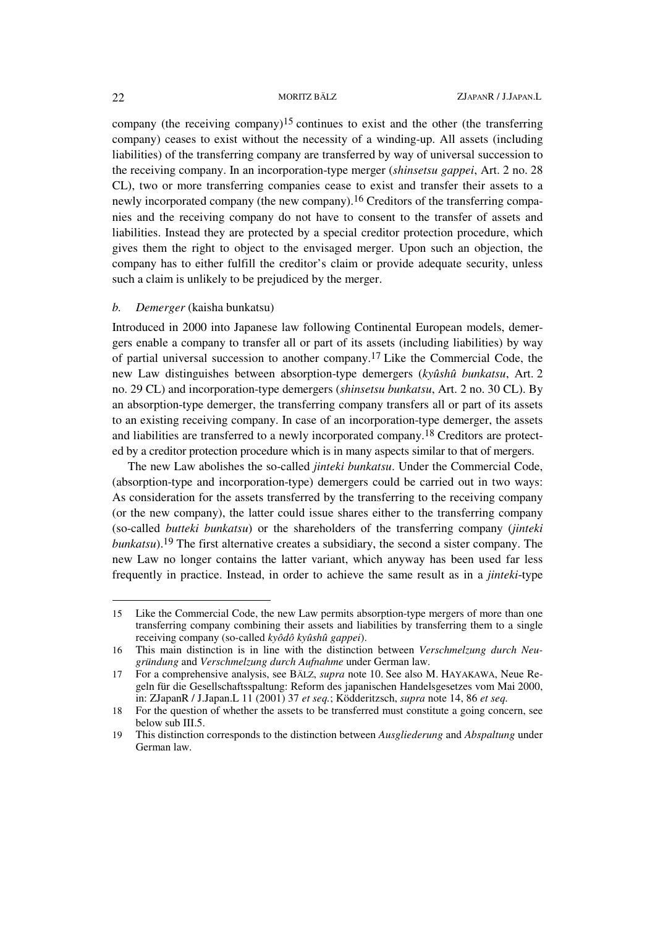company (the receiving company)<sup>15</sup> continues to exist and the other (the transferring company) ceases to exist without the necessity of a winding-up. All assets (including liabilities) of the transferring company are transferred by way of universal succession to the receiving company. In an incorporation-type merger (*shinsetsu gappei*, Art. 2 no. 28 CL), two or more transferring companies cease to exist and transfer their assets to a newly incorporated company (the new company).<sup>16</sup> Creditors of the transferring companies and the receiving company do not have to consent to the transfer of assets and liabilities. Instead they are protected by a special creditor protection procedure, which gives them the right to object to the envisaged merger. Upon such an objection, the company has to either fulfill the creditor's claim or provide adequate security, unless such a claim is unlikely to be prejudiced by the merger.

# *b. Demerger* (kaisha bunkatsu)

Introduced in 2000 into Japanese law following Continental European models, demergers enable a company to transfer all or part of its assets (including liabilities) by way of partial universal succession to another company.17 Like the Commercial Code, the new Law distinguishes between absorption-type demergers (*kyûshû bunkatsu*, Art. 2 no. 29 CL) and incorporation-type demergers (*shinsetsu bunkatsu*, Art. 2 no. 30 CL). By an absorption-type demerger, the transferring company transfers all or part of its assets to an existing receiving company. In case of an incorporation-type demerger, the assets and liabilities are transferred to a newly incorporated company.18 Creditors are protected by a creditor protection procedure which is in many aspects similar to that of mergers.

The new Law abolishes the so-called *jinteki bunkatsu*. Under the Commercial Code, (absorption-type and incorporation-type) demergers could be carried out in two ways: As consideration for the assets transferred by the transferring to the receiving company (or the new company), the latter could issue shares either to the transferring company (so-called *butteki bunkatsu*) or the shareholders of the transferring company (*jinteki bunkatsu*).19 The first alternative creates a subsidiary, the second a sister company. The new Law no longer contains the latter variant, which anyway has been used far less frequently in practice. Instead, in order to achieve the same result as in a *jinteki*-type

<sup>15</sup> Like the Commercial Code, the new Law permits absorption-type mergers of more than one transferring company combining their assets and liabilities by transferring them to a single receiving company (so-called *kyôdô kyûshû gappei*).

<sup>16</sup> This main distinction is in line with the distinction between *Verschmelzung durch Neugründung* and *Verschmelzung durch Aufnahme* under German law.

<sup>17</sup> For a comprehensive analysis, see BÄLZ, *supra* note 10. See also M. HAYAKAWA, Neue Regeln für die Gesellschaftsspaltung: Reform des japanischen Handelsgesetzes vom Mai 2000, in: ZJapanR / J.Japan.L 11 (2001) 37 *et seq.*; Ködderitzsch, *supra* note 14, 86 *et seq.*

<sup>18</sup> For the question of whether the assets to be transferred must constitute a going concern, see below sub III.5.

<sup>19</sup> This distinction corresponds to the distinction between *Ausgliederung* and *Abspaltung* under German law.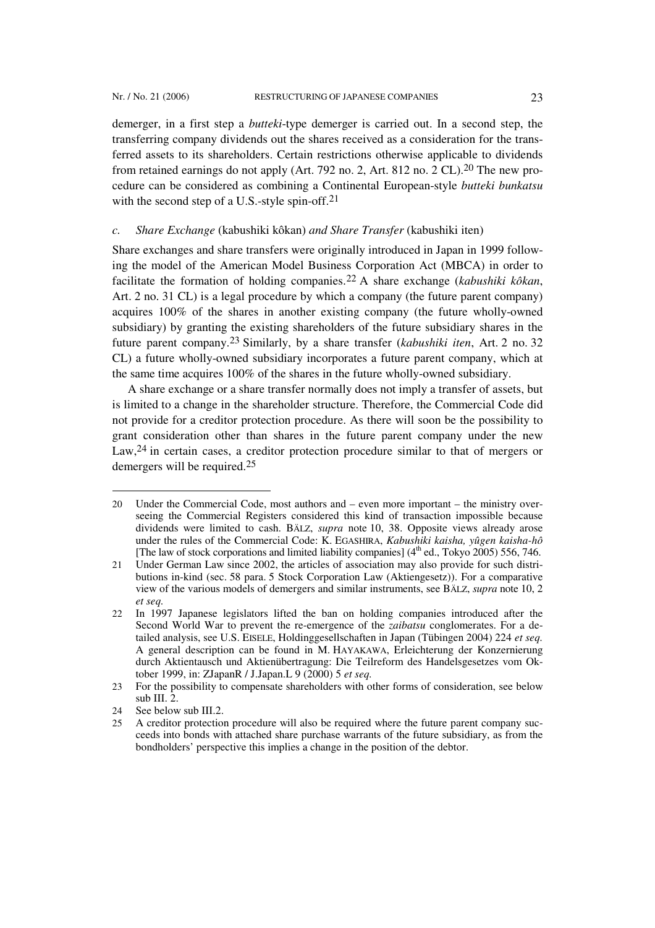demerger, in a first step a *butteki*-type demerger is carried out. In a second step, the transferring company dividends out the shares received as a consideration for the transferred assets to its shareholders. Certain restrictions otherwise applicable to dividends from retained earnings do not apply (Art. 792 no. 2, Art. 812 no. 2 CL).20 The new procedure can be considered as combining a Continental European-style *butteki bunkatsu* with the second step of a U.S.-style spin-off.<sup>21</sup>

#### *c. Share Exchange* (kabushiki kôkan) *and Share Transfer* (kabushiki iten)

Share exchanges and share transfers were originally introduced in Japan in 1999 following the model of the American Model Business Corporation Act (MBCA) in order to facilitate the formation of holding companies.22 A share exchange (*kabushiki kôkan*, Art. 2 no. 31 CL) is a legal procedure by which a company (the future parent company) acquires 100% of the shares in another existing company (the future wholly-owned subsidiary) by granting the existing shareholders of the future subsidiary shares in the future parent company.23 Similarly, by a share transfer (*kabushiki iten*, Art. 2 no. 32 CL) a future wholly-owned subsidiary incorporates a future parent company, which at the same time acquires 100% of the shares in the future wholly-owned subsidiary.

A share exchange or a share transfer normally does not imply a transfer of assets, but is limited to a change in the shareholder structure. Therefore, the Commercial Code did not provide for a creditor protection procedure. As there will soon be the possibility to grant consideration other than shares in the future parent company under the new Law,<sup>24</sup> in certain cases, a creditor protection procedure similar to that of mergers or demergers will be required.25

 $\overline{a}$ 

<sup>20</sup> Under the Commercial Code, most authors and – even more important – the ministry overseeing the Commercial Registers considered this kind of transaction impossible because dividends were limited to cash. BÄLZ, *supra* note 10, 38. Opposite views already arose under the rules of the Commercial Code: K. EGASHIRA, *Kabushiki kaisha, yûgen kaisha-hô* [The law of stock corporations and limited liability companies]  $(4<sup>th</sup>$  ed., Tokyo 2005) 556, 746.

<sup>21</sup> Under German Law since 2002, the articles of association may also provide for such distributions in-kind (sec. 58 para. 5 Stock Corporation Law (Aktiengesetz)). For a comparative view of the various models of demergers and similar instruments, see BÄLZ, *supra* note 10, 2 *et seq.*

<sup>22</sup> In 1997 Japanese legislators lifted the ban on holding companies introduced after the Second World War to prevent the re-emergence of the *zaibatsu* conglomerates. For a detailed analysis, see U.S. EISELE, Holdinggesellschaften in Japan (Tübingen 2004) 224 *et seq.* A general description can be found in M. HAYAKAWA, Erleichterung der Konzernierung durch Aktientausch und Aktienübertragung: Die Teilreform des Handelsgesetzes vom Oktober 1999, in: ZJapanR / J.Japan.L 9 (2000) 5 *et seq.*

<sup>23</sup> For the possibility to compensate shareholders with other forms of consideration, see below sub III. $2$ .

<sup>24</sup> See below sub III.2.

<sup>25</sup> A creditor protection procedure will also be required where the future parent company succeeds into bonds with attached share purchase warrants of the future subsidiary, as from the bondholders' perspective this implies a change in the position of the debtor.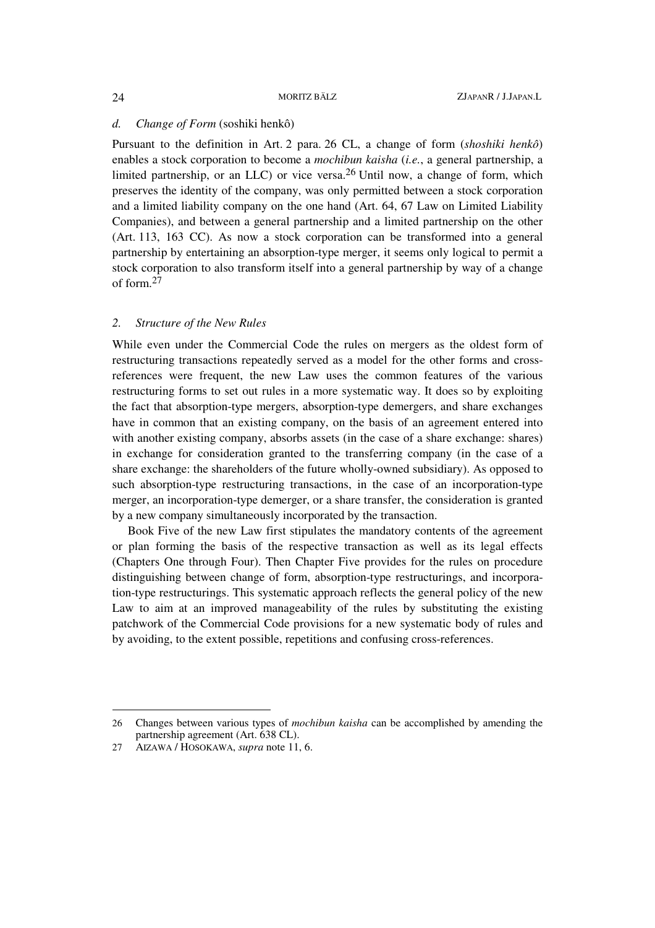#### *d. Change of Form* (soshiki henkô)

Pursuant to the definition in Art. 2 para. 26 CL, a change of form (*shoshiki henkô*) enables a stock corporation to become a *mochibun kaisha* (*i.e.*, a general partnership, a limited partnership, or an LLC) or vice versa.26 Until now, a change of form, which preserves the identity of the company, was only permitted between a stock corporation and a limited liability company on the one hand (Art. 64, 67 Law on Limited Liability Companies), and between a general partnership and a limited partnership on the other (Art. 113, 163 CC). As now a stock corporation can be transformed into a general partnership by entertaining an absorption-type merger, it seems only logical to permit a stock corporation to also transform itself into a general partnership by way of a change of form.27

### *2. Structure of the New Rules*

While even under the Commercial Code the rules on mergers as the oldest form of restructuring transactions repeatedly served as a model for the other forms and crossreferences were frequent, the new Law uses the common features of the various restructuring forms to set out rules in a more systematic way. It does so by exploiting the fact that absorption-type mergers, absorption-type demergers, and share exchanges have in common that an existing company, on the basis of an agreement entered into with another existing company, absorbs assets (in the case of a share exchange: shares) in exchange for consideration granted to the transferring company (in the case of a share exchange: the shareholders of the future wholly-owned subsidiary). As opposed to such absorption-type restructuring transactions, in the case of an incorporation-type merger, an incorporation-type demerger, or a share transfer, the consideration is granted by a new company simultaneously incorporated by the transaction.

Book Five of the new Law first stipulates the mandatory contents of the agreement or plan forming the basis of the respective transaction as well as its legal effects (Chapters One through Four). Then Chapter Five provides for the rules on procedure distinguishing between change of form, absorption-type restructurings, and incorporation-type restructurings. This systematic approach reflects the general policy of the new Law to aim at an improved manageability of the rules by substituting the existing patchwork of the Commercial Code provisions for a new systematic body of rules and by avoiding, to the extent possible, repetitions and confusing cross-references.

<sup>26</sup> Changes between various types of *mochibun kaisha* can be accomplished by amending the partnership agreement (Art. 638 CL).

<sup>27</sup> AIZAWA / HOSOKAWA, *supra* note 11, 6.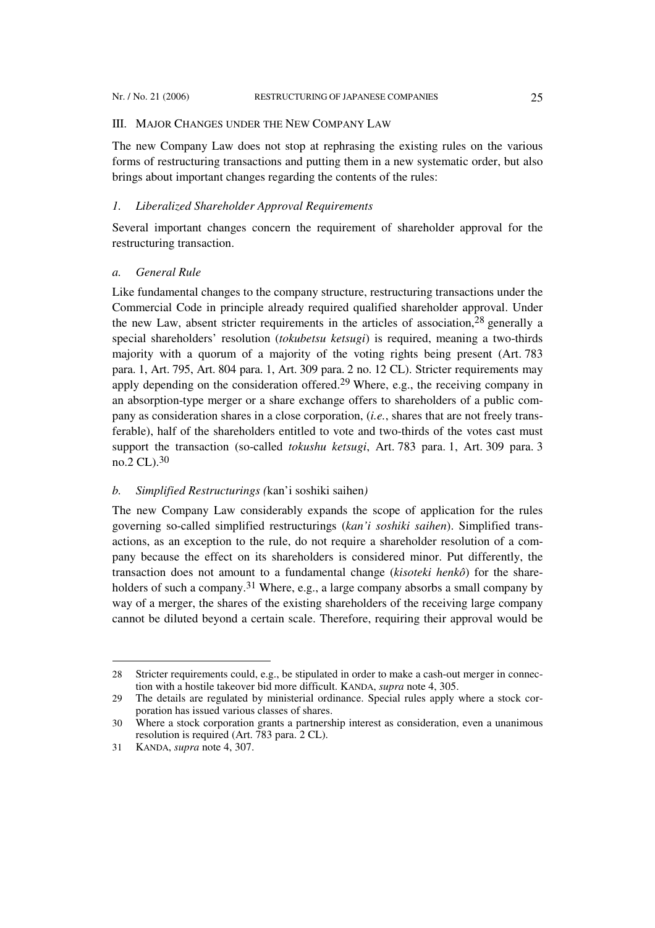# III. MAJOR CHANGES UNDER THE NEW COMPANY LAW

The new Company Law does not stop at rephrasing the existing rules on the various forms of restructuring transactions and putting them in a new systematic order, but also brings about important changes regarding the contents of the rules:

# *1. Liberalized Shareholder Approval Requirements*

Several important changes concern the requirement of shareholder approval for the restructuring transaction.

# *a. General Rule*

Like fundamental changes to the company structure, restructuring transactions under the Commercial Code in principle already required qualified shareholder approval. Under the new Law, absent stricter requirements in the articles of association,28 generally a special shareholders' resolution (*tokubetsu ketsugi*) is required, meaning a two-thirds majority with a quorum of a majority of the voting rights being present (Art. 783 para. 1, Art. 795, Art. 804 para. 1, Art. 309 para. 2 no. 12 CL). Stricter requirements may apply depending on the consideration offered.<sup>29</sup> Where, e.g., the receiving company in an absorption-type merger or a share exchange offers to shareholders of a public company as consideration shares in a close corporation, (*i.e.*, shares that are not freely transferable), half of the shareholders entitled to vote and two-thirds of the votes cast must support the transaction (so-called *tokushu ketsugi*, Art. 783 para. 1, Art. 309 para. 3 no.2 CL).30

# *b. Simplified Restructurings (*kan'i soshiki saihen*)*

The new Company Law considerably expands the scope of application for the rules governing so-called simplified restructurings (*kan'i soshiki saihen*). Simplified transactions, as an exception to the rule, do not require a shareholder resolution of a company because the effect on its shareholders is considered minor. Put differently, the transaction does not amount to a fundamental change (*kisoteki henkô*) for the shareholders of such a company.<sup>31</sup> Where, e.g., a large company absorbs a small company by way of a merger, the shares of the existing shareholders of the receiving large company cannot be diluted beyond a certain scale. Therefore, requiring their approval would be

<sup>28</sup> Stricter requirements could, e.g., be stipulated in order to make a cash-out merger in connection with a hostile takeover bid more difficult. KANDA, *supra* note 4, 305.

<sup>29</sup> The details are regulated by ministerial ordinance. Special rules apply where a stock corporation has issued various classes of shares.

<sup>30</sup> Where a stock corporation grants a partnership interest as consideration, even a unanimous resolution is required (Art. 783 para. 2 CL).

<sup>31</sup> KANDA, *supra* note 4, 307.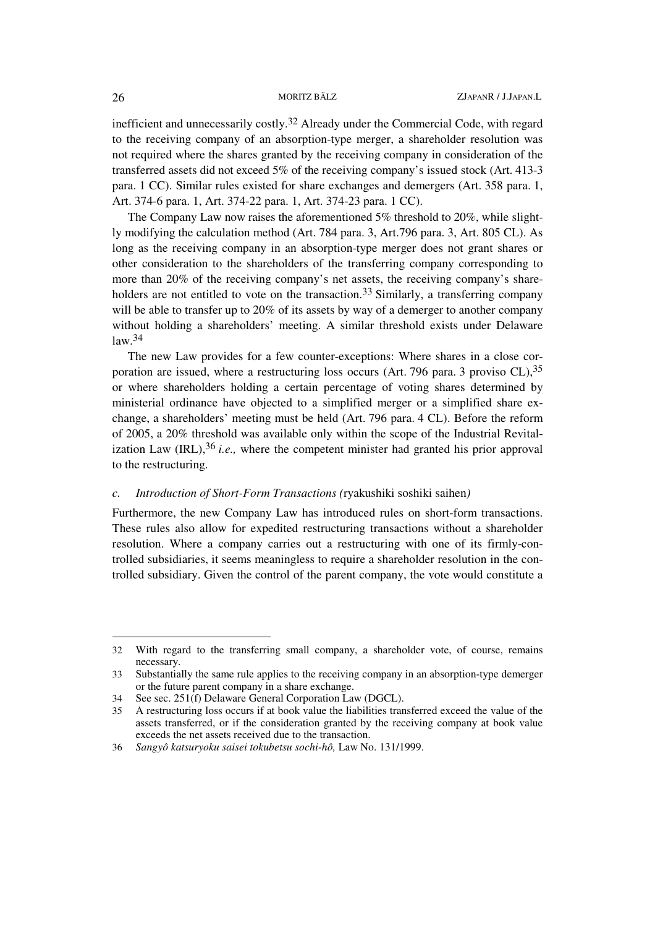inefficient and unnecessarily costly.<sup>32</sup> Already under the Commercial Code, with regard to the receiving company of an absorption-type merger, a shareholder resolution was not required where the shares granted by the receiving company in consideration of the transferred assets did not exceed 5% of the receiving company's issued stock (Art. 413-3 para. 1 CC). Similar rules existed for share exchanges and demergers (Art. 358 para. 1, Art. 374-6 para. 1, Art. 374-22 para. 1, Art. 374-23 para. 1 CC).

The Company Law now raises the aforementioned 5% threshold to 20%, while slightly modifying the calculation method (Art. 784 para. 3, Art.796 para. 3, Art. 805 CL). As long as the receiving company in an absorption-type merger does not grant shares or other consideration to the shareholders of the transferring company corresponding to more than 20% of the receiving company's net assets, the receiving company's shareholders are not entitled to vote on the transaction.<sup>33</sup> Similarly, a transferring company will be able to transfer up to 20% of its assets by way of a demerger to another company without holding a shareholders' meeting. A similar threshold exists under Delaware  $law.<sup>34</sup>$ 

The new Law provides for a few counter-exceptions: Where shares in a close corporation are issued, where a restructuring loss occurs (Art. 796 para. 3 proviso CL),35 or where shareholders holding a certain percentage of voting shares determined by ministerial ordinance have objected to a simplified merger or a simplified share exchange, a shareholders' meeting must be held (Art. 796 para. 4 CL). Before the reform of 2005, a 20% threshold was available only within the scope of the Industrial Revitalization Law (IRL),36 *i.e.,* where the competent minister had granted his prior approval to the restructuring.

#### *c. Introduction of Short-Form Transactions (*ryakushiki soshiki saihen*)*

Furthermore, the new Company Law has introduced rules on short-form transactions. These rules also allow for expedited restructuring transactions without a shareholder resolution. Where a company carries out a restructuring with one of its firmly-controlled subsidiaries, it seems meaningless to require a shareholder resolution in the controlled subsidiary. Given the control of the parent company, the vote would constitute a

<sup>32</sup> With regard to the transferring small company, a shareholder vote, of course, remains necessary.

<sup>33</sup> Substantially the same rule applies to the receiving company in an absorption-type demerger or the future parent company in a share exchange.

<sup>34</sup> See sec. 251(f) Delaware General Corporation Law (DGCL).

<sup>35</sup> A restructuring loss occurs if at book value the liabilities transferred exceed the value of the assets transferred, or if the consideration granted by the receiving company at book value exceeds the net assets received due to the transaction.

<sup>36</sup> *Sangyô katsuryoku saisei tokubetsu sochi-hô,* Law No. 131/1999.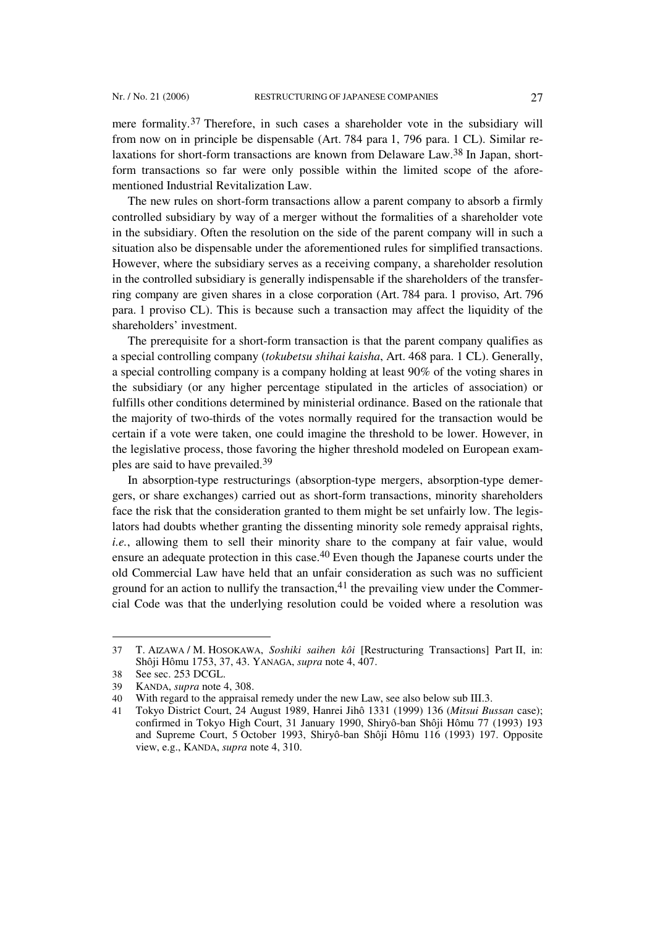mere formality.37 Therefore, in such cases a shareholder vote in the subsidiary will from now on in principle be dispensable (Art. 784 para 1, 796 para. 1 CL). Similar relaxations for short-form transactions are known from Delaware Law.38 In Japan, shortform transactions so far were only possible within the limited scope of the aforementioned Industrial Revitalization Law.

The new rules on short-form transactions allow a parent company to absorb a firmly controlled subsidiary by way of a merger without the formalities of a shareholder vote in the subsidiary. Often the resolution on the side of the parent company will in such a situation also be dispensable under the aforementioned rules for simplified transactions. However, where the subsidiary serves as a receiving company, a shareholder resolution in the controlled subsidiary is generally indispensable if the shareholders of the transferring company are given shares in a close corporation (Art. 784 para. 1 proviso, Art. 796 para. 1 proviso CL). This is because such a transaction may affect the liquidity of the shareholders' investment.

The prerequisite for a short-form transaction is that the parent company qualifies as a special controlling company (*tokubetsu shihai kaisha*, Art. 468 para. 1 CL). Generally, a special controlling company is a company holding at least 90% of the voting shares in the subsidiary (or any higher percentage stipulated in the articles of association) or fulfills other conditions determined by ministerial ordinance. Based on the rationale that the majority of two-thirds of the votes normally required for the transaction would be certain if a vote were taken, one could imagine the threshold to be lower. However, in the legislative process, those favoring the higher threshold modeled on European examples are said to have prevailed.39

In absorption-type restructurings (absorption-type mergers, absorption-type demergers, or share exchanges) carried out as short-form transactions, minority shareholders face the risk that the consideration granted to them might be set unfairly low. The legislators had doubts whether granting the dissenting minority sole remedy appraisal rights, *i.e.*, allowing them to sell their minority share to the company at fair value, would ensure an adequate protection in this case.40 Even though the Japanese courts under the old Commercial Law have held that an unfair consideration as such was no sufficient ground for an action to nullify the transaction,  $4<sup>1</sup>$  the prevailing view under the Commercial Code was that the underlying resolution could be voided where a resolution was

<sup>37</sup> T. AIZAWA / M. HOSOKAWA, *Soshiki saihen kôi* [Restructuring Transactions] Part II, in: Shôji Hômu 1753, 37, 43. YANAGA, *supra* note 4, 407.

<sup>38</sup> See sec. 253 DCGL.

<sup>39</sup> KANDA, *supra* note 4, 308.

<sup>40</sup> With regard to the appraisal remedy under the new Law, see also below sub III.3.

<sup>41</sup> Tokyo District Court, 24 August 1989, Hanrei Jihô 1331 (1999) 136 (*Mitsui Bussan* case); confirmed in Tokyo High Court, 31 January 1990, Shiryô-ban Shôji Hômu 77 (1993) 193 and Supreme Court, 5 October 1993, Shiryô-ban Shôji Hômu 116 (1993) 197. Opposite view, e.g., KANDA, *supra* note 4, 310.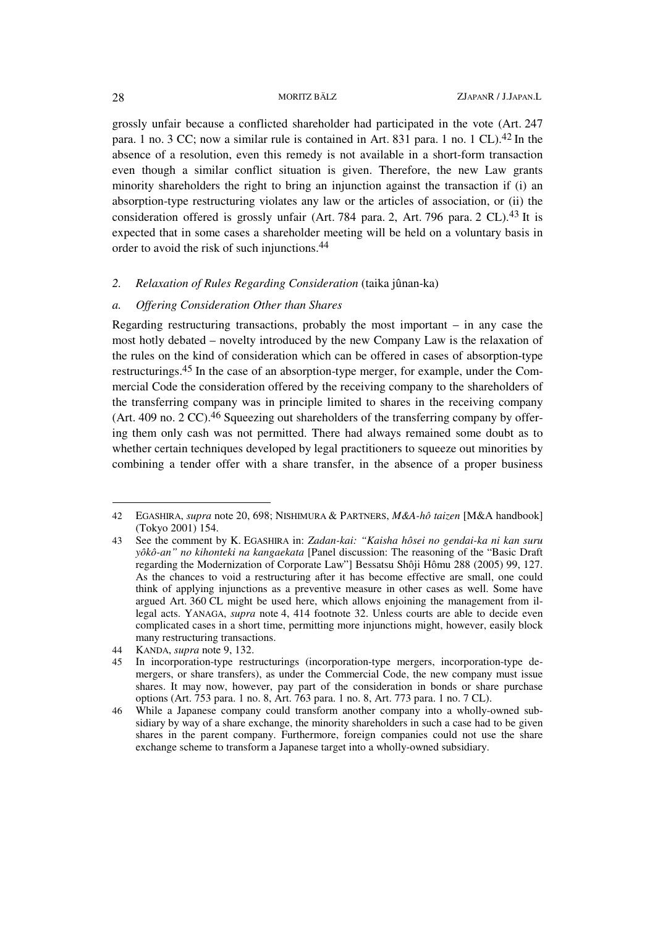grossly unfair because a conflicted shareholder had participated in the vote (Art. 247 para. 1 no. 3 CC; now a similar rule is contained in Art. 831 para. 1 no. 1 CL).<sup>42</sup> In the absence of a resolution, even this remedy is not available in a short-form transaction even though a similar conflict situation is given. Therefore, the new Law grants minority shareholders the right to bring an injunction against the transaction if (i) an absorption-type restructuring violates any law or the articles of association, or (ii) the consideration offered is grossly unfair (Art. 784 para. 2, Art. 796 para. 2 CL).43 It is expected that in some cases a shareholder meeting will be held on a voluntary basis in order to avoid the risk of such injunctions.44

# *2. Relaxation of Rules Regarding Consideration* (taika jûnan-ka)

#### *a. Offering Consideration Other than Shares*

Regarding restructuring transactions, probably the most important  $-$  in any case the most hotly debated – novelty introduced by the new Company Law is the relaxation of the rules on the kind of consideration which can be offered in cases of absorption-type restructurings.45 In the case of an absorption-type merger, for example, under the Commercial Code the consideration offered by the receiving company to the shareholders of the transferring company was in principle limited to shares in the receiving company (Art. 409 no. 2 CC).<sup>46</sup> Squeezing out shareholders of the transferring company by offering them only cash was not permitted. There had always remained some doubt as to whether certain techniques developed by legal practitioners to squeeze out minorities by combining a tender offer with a share transfer, in the absence of a proper business

<sup>42</sup> EGASHIRA, *supra* note 20, 698; NISHIMURA & PARTNERS, *M&A-hô taizen* [M&A handbook] (Tokyo 2001) 154.

<sup>43</sup> See the comment by K. EGASHIRA in: *Zadan-kai: "Kaisha hôsei no gendai-ka ni kan suru yôkô-an" no kihonteki na kangaekata* [Panel discussion: The reasoning of the "Basic Draft regarding the Modernization of Corporate Law"] Bessatsu Shôji Hômu 288 (2005) 99, 127. As the chances to void a restructuring after it has become effective are small, one could think of applying injunctions as a preventive measure in other cases as well. Some have argued Art. 360 CL might be used here, which allows enjoining the management from illegal acts. YANAGA, *supra* note 4, 414 footnote 32. Unless courts are able to decide even complicated cases in a short time, permitting more injunctions might, however, easily block many restructuring transactions.

<sup>44</sup> KANDA, *supra* note 9, 132.

<sup>45</sup> In incorporation-type restructurings (incorporation-type mergers, incorporation-type demergers, or share transfers), as under the Commercial Code, the new company must issue shares. It may now, however, pay part of the consideration in bonds or share purchase options (Art. 753 para. 1 no. 8, Art. 763 para. 1 no. 8, Art. 773 para. 1 no. 7 CL).

<sup>46</sup> While a Japanese company could transform another company into a wholly-owned subsidiary by way of a share exchange, the minority shareholders in such a case had to be given shares in the parent company. Furthermore, foreign companies could not use the share exchange scheme to transform a Japanese target into a wholly-owned subsidiary.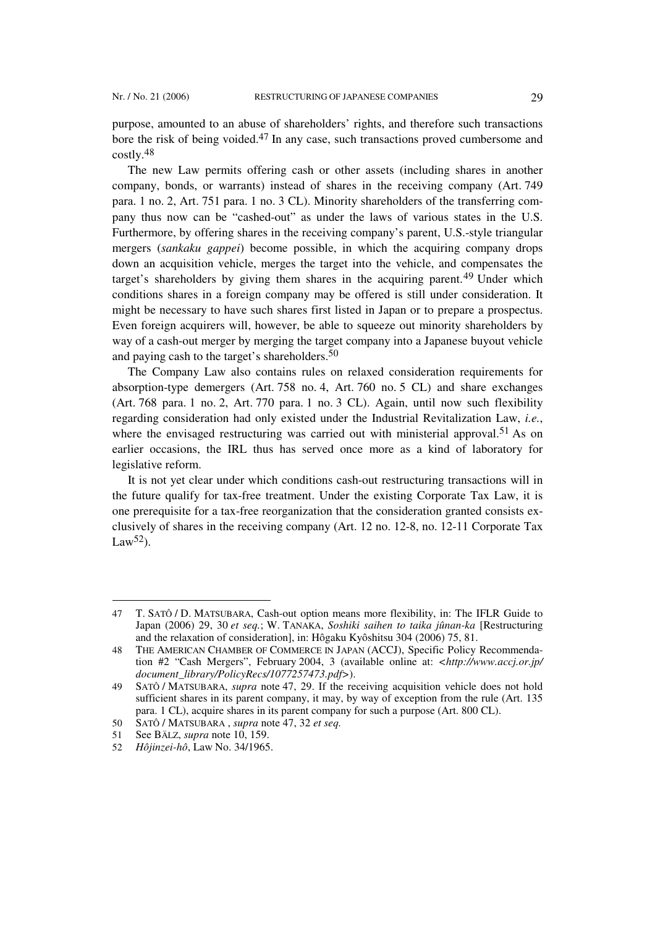purpose, amounted to an abuse of shareholders' rights, and therefore such transactions bore the risk of being voided.47 In any case, such transactions proved cumbersome and costly.48

The new Law permits offering cash or other assets (including shares in another company, bonds, or warrants) instead of shares in the receiving company (Art. 749 para. 1 no. 2, Art. 751 para. 1 no. 3 CL). Minority shareholders of the transferring company thus now can be "cashed-out" as under the laws of various states in the U.S. Furthermore, by offering shares in the receiving company's parent, U.S.-style triangular mergers (*sankaku gappei*) become possible, in which the acquiring company drops down an acquisition vehicle, merges the target into the vehicle, and compensates the target's shareholders by giving them shares in the acquiring parent.<sup>49</sup> Under which conditions shares in a foreign company may be offered is still under consideration. It might be necessary to have such shares first listed in Japan or to prepare a prospectus. Even foreign acquirers will, however, be able to squeeze out minority shareholders by way of a cash-out merger by merging the target company into a Japanese buyout vehicle and paying cash to the target's shareholders.50

The Company Law also contains rules on relaxed consideration requirements for absorption-type demergers (Art. 758 no. 4, Art. 760 no. 5 CL) and share exchanges (Art. 768 para. 1 no. 2, Art. 770 para. 1 no. 3 CL). Again, until now such flexibility regarding consideration had only existed under the Industrial Revitalization Law, *i.e.*, where the envisaged restructuring was carried out with ministerial approval.<sup>51</sup> As on earlier occasions, the IRL thus has served once more as a kind of laboratory for legislative reform.

It is not yet clear under which conditions cash-out restructuring transactions will in the future qualify for tax-free treatment. Under the existing Corporate Tax Law, it is one prerequisite for a tax-free reorganization that the consideration granted consists exclusively of shares in the receiving company (Art. 12 no. 12-8, no. 12-11 Corporate Tax Law<sup>52</sup>).

<sup>47</sup> T. SATÔ / D. MATSUBARA, Cash-out option means more flexibility, in: The IFLR Guide to Japan (2006) 29, 30 *et seq.*; W. TANAKA, *Soshiki saihen to taika jûnan-ka* [Restructuring and the relaxation of consideration], in: Hôgaku Kyôshitsu 304 (2006) 75, 81.

<sup>48</sup> THE AMERICAN CHAMBER OF COMMERCE IN JAPAN (ACCJ), Specific Policy Recommendation #2 "Cash Mergers", February 2004, 3 (available online at: *<http://www.accj.or.jp/ document\_library/PolicyRecs/1077257473.pdf>*).

<sup>49</sup> SATÔ / MATSUBARA, *supra* note 47, 29. If the receiving acquisition vehicle does not hold sufficient shares in its parent company, it may, by way of exception from the rule (Art. 135 para. 1 CL), acquire shares in its parent company for such a purpose (Art. 800 CL).

<sup>50</sup> SATÔ / MATSUBARA , *supra* note 47, 32 *et seq.*

<sup>51</sup> See BÄLZ, *supra* note 10, 159.

<sup>52</sup> *Hôjinzei-hô*, Law No. 34/1965.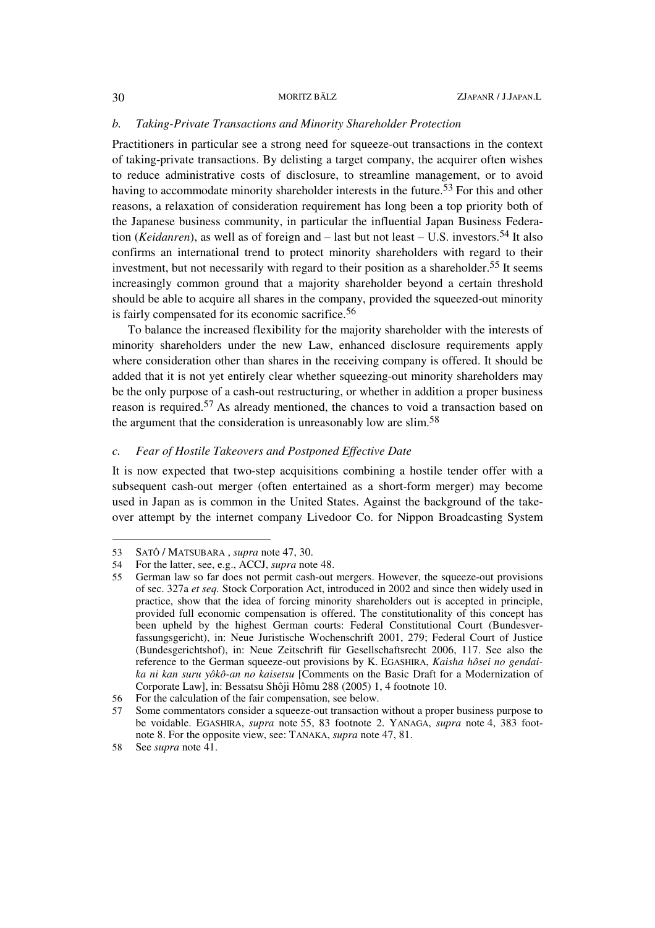### *b. Taking-Private Transactions and Minority Shareholder Protection*

Practitioners in particular see a strong need for squeeze-out transactions in the context of taking-private transactions. By delisting a target company, the acquirer often wishes to reduce administrative costs of disclosure, to streamline management, or to avoid having to accommodate minority shareholder interests in the future.<sup>53</sup> For this and other reasons, a relaxation of consideration requirement has long been a top priority both of the Japanese business community, in particular the influential Japan Business Federation (*Keidanren*), as well as of foreign and – last but not least – U.S. investors.54 It also confirms an international trend to protect minority shareholders with regard to their investment, but not necessarily with regard to their position as a shareholder.<sup>55</sup> It seems increasingly common ground that a majority shareholder beyond a certain threshold should be able to acquire all shares in the company, provided the squeezed-out minority is fairly compensated for its economic sacrifice.<sup>56</sup>

To balance the increased flexibility for the majority shareholder with the interests of minority shareholders under the new Law, enhanced disclosure requirements apply where consideration other than shares in the receiving company is offered. It should be added that it is not yet entirely clear whether squeezing-out minority shareholders may be the only purpose of a cash-out restructuring, or whether in addition a proper business reason is required.57 As already mentioned, the chances to void a transaction based on the argument that the consideration is unreasonably low are slim.58

# *c. Fear of Hostile Takeovers and Postponed Effective Date*

It is now expected that two-step acquisitions combining a hostile tender offer with a subsequent cash-out merger (often entertained as a short-form merger) may become used in Japan as is common in the United States. Against the background of the takeover attempt by the internet company Livedoor Co. for Nippon Broadcasting System

 $\overline{a}$ 

<sup>53</sup> SATÔ / MATSUBARA , *supra* note 47, 30.

<sup>54</sup> For the latter, see, e.g., ACCJ, *supra* note 48.

<sup>55</sup> German law so far does not permit cash-out mergers. However, the squeeze-out provisions of sec. 327a *et seq.* Stock Corporation Act, introduced in 2002 and since then widely used in practice, show that the idea of forcing minority shareholders out is accepted in principle, provided full economic compensation is offered. The constitutionality of this concept has been upheld by the highest German courts: Federal Constitutional Court (Bundesverfassungsgericht), in: Neue Juristische Wochenschrift 2001, 279; Federal Court of Justice (Bundesgerichtshof), in: Neue Zeitschrift für Gesellschaftsrecht 2006, 117. See also the reference to the German squeeze-out provisions by K. EGASHIRA, *Kaisha hôsei no gendaika ni kan suru yôkô-an no kaisetsu* [Comments on the Basic Draft for a Modernization of Corporate Law], in: Bessatsu Shôji Hômu 288 (2005) 1, 4 footnote 10.

<sup>56</sup> For the calculation of the fair compensation, see below.

<sup>57</sup> Some commentators consider a squeeze-out transaction without a proper business purpose to be voidable. EGASHIRA, *supra* note 55, 83 footnote 2. YANAGA, *supra* note 4, 383 footnote 8. For the opposite view, see: TANAKA, *supra* note 47, 81.

<sup>58</sup> See *supra* note 41.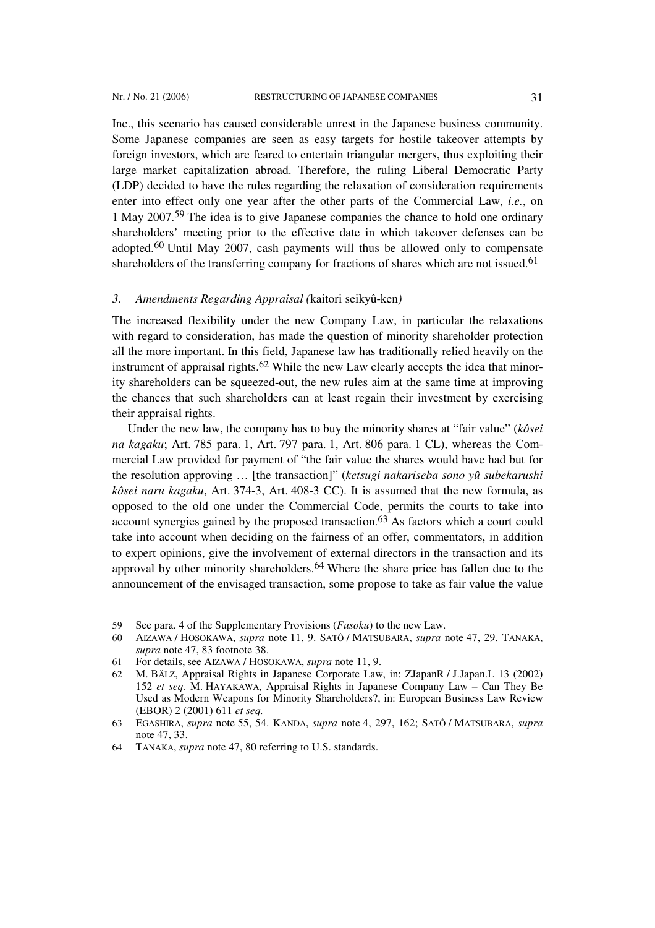l

Inc., this scenario has caused considerable unrest in the Japanese business community. Some Japanese companies are seen as easy targets for hostile takeover attempts by foreign investors, which are feared to entertain triangular mergers, thus exploiting their large market capitalization abroad. Therefore, the ruling Liberal Democratic Party (LDP) decided to have the rules regarding the relaxation of consideration requirements enter into effect only one year after the other parts of the Commercial Law, *i.e.*, on 1 May 2007.59 The idea is to give Japanese companies the chance to hold one ordinary shareholders' meeting prior to the effective date in which takeover defenses can be adopted.60 Until May 2007, cash payments will thus be allowed only to compensate shareholders of the transferring company for fractions of shares which are not issued.<sup>61</sup>

#### *3. Amendments Regarding Appraisal (*kaitori seikyû-ken*)*

The increased flexibility under the new Company Law, in particular the relaxations with regard to consideration, has made the question of minority shareholder protection all the more important. In this field, Japanese law has traditionally relied heavily on the instrument of appraisal rights.<sup>62</sup> While the new Law clearly accepts the idea that minority shareholders can be squeezed-out, the new rules aim at the same time at improving the chances that such shareholders can at least regain their investment by exercising their appraisal rights.

Under the new law, the company has to buy the minority shares at "fair value" (*kôsei na kagaku*; Art. 785 para. 1, Art. 797 para. 1, Art. 806 para. 1 CL), whereas the Commercial Law provided for payment of "the fair value the shares would have had but for the resolution approving … [the transaction]" (*ketsugi nakariseba sono yû subekarushi kôsei naru kagaku*, Art. 374-3, Art. 408-3 CC). It is assumed that the new formula, as opposed to the old one under the Commercial Code, permits the courts to take into account synergies gained by the proposed transaction.63 As factors which a court could take into account when deciding on the fairness of an offer, commentators, in addition to expert opinions, give the involvement of external directors in the transaction and its approval by other minority shareholders.64 Where the share price has fallen due to the announcement of the envisaged transaction, some propose to take as fair value the value

<sup>59</sup> See para. 4 of the Supplementary Provisions (*Fusoku*) to the new Law.

<sup>60</sup> AIZAWA / HOSOKAWA, *supra* note 11, 9. SATÔ / MATSUBARA, *supra* note 47, 29. TANAKA, *supra* note 47, 83 footnote 38.

<sup>61</sup> For details, see AIZAWA / HOSOKAWA, *supra* note 11, 9.

<sup>62</sup> M. BÄLZ, Appraisal Rights in Japanese Corporate Law, in: ZJapanR / J.Japan.L 13 (2002) 152 *et seq.* M. HAYAKAWA, Appraisal Rights in Japanese Company Law – Can They Be Used as Modern Weapons for Minority Shareholders?, in: European Business Law Review (EBOR) 2 (2001) 611 *et seq.*

<sup>63</sup> EGASHIRA, *supra* note 55, 54. KANDA, *supra* note 4, 297, 162; SATÔ / MATSUBARA, *supra* note 47, 33.

<sup>64</sup> TANAKA, *supra* note 47, 80 referring to U.S. standards.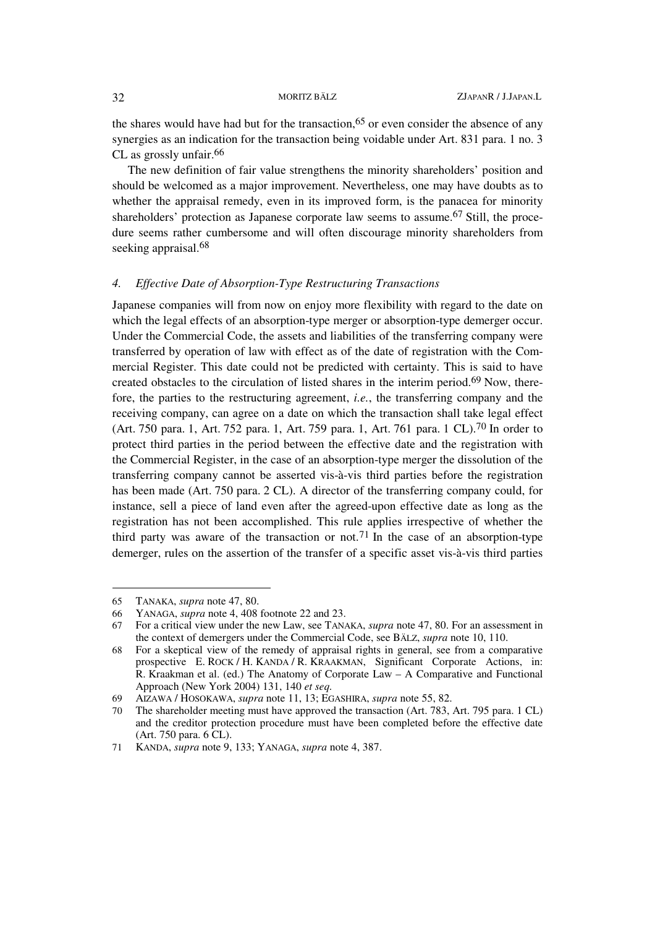the shares would have had but for the transaction,<sup>65</sup> or even consider the absence of any synergies as an indication for the transaction being voidable under Art. 831 para. 1 no. 3 CL as grossly unfair.<sup>66</sup>

The new definition of fair value strengthens the minority shareholders' position and should be welcomed as a major improvement. Nevertheless, one may have doubts as to whether the appraisal remedy, even in its improved form, is the panacea for minority shareholders' protection as Japanese corporate law seems to assume.67 Still, the procedure seems rather cumbersome and will often discourage minority shareholders from seeking appraisal.<sup>68</sup>

# *4. Effective Date of Absorption-Type Restructuring Transactions*

Japanese companies will from now on enjoy more flexibility with regard to the date on which the legal effects of an absorption-type merger or absorption-type demerger occur. Under the Commercial Code, the assets and liabilities of the transferring company were transferred by operation of law with effect as of the date of registration with the Commercial Register. This date could not be predicted with certainty. This is said to have created obstacles to the circulation of listed shares in the interim period.69 Now, therefore, the parties to the restructuring agreement, *i.e.*, the transferring company and the receiving company, can agree on a date on which the transaction shall take legal effect (Art. 750 para. 1, Art. 752 para. 1, Art. 759 para. 1, Art. 761 para. 1 CL).70 In order to protect third parties in the period between the effective date and the registration with the Commercial Register, in the case of an absorption-type merger the dissolution of the transferring company cannot be asserted vis-à-vis third parties before the registration has been made (Art. 750 para. 2 CL). A director of the transferring company could, for instance, sell a piece of land even after the agreed-upon effective date as long as the registration has not been accomplished. This rule applies irrespective of whether the third party was aware of the transaction or not.<sup>71</sup> In the case of an absorption-type demerger, rules on the assertion of the transfer of a specific asset vis-à-vis third parties

<sup>65</sup> TANAKA, *supra* note 47, 80.

<sup>66</sup> YANAGA, *supra* note 4, 408 footnote 22 and 23.

<sup>67</sup> For a critical view under the new Law, see TANAKA, *supra* note 47, 80. For an assessment in the context of demergers under the Commercial Code, see BÄLZ, *supra* note 10, 110.

<sup>68</sup> For a skeptical view of the remedy of appraisal rights in general, see from a comparative prospective E. ROCK / H. KANDA / R. KRAAKMAN, Significant Corporate Actions, in: R. Kraakman et al. (ed.) The Anatomy of Corporate Law – A Comparative and Functional Approach (New York 2004) 131, 140 *et seq.*

<sup>69</sup> AIZAWA / HOSOKAWA, *supra* note 11, 13; EGASHIRA, *supra* note 55, 82.

<sup>70</sup> The shareholder meeting must have approved the transaction (Art. 783, Art. 795 para. 1 CL) and the creditor protection procedure must have been completed before the effective date (Art. 750 para. 6 CL).

<sup>71</sup> KANDA, *supra* note 9, 133; YANAGA, *supra* note 4, 387.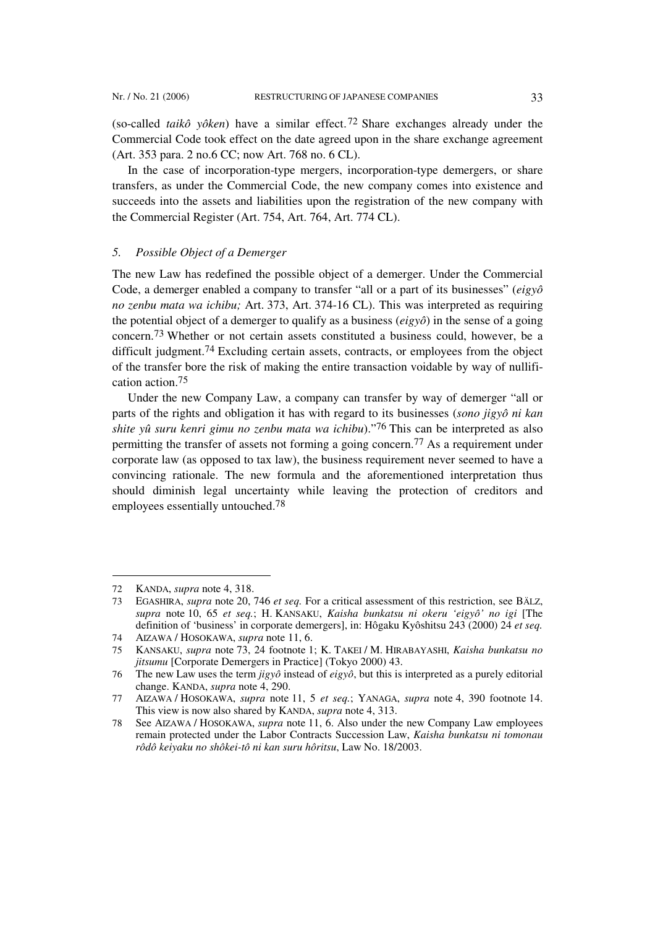(so-called *taikô yôken*) have a similar effect.<sup>72</sup> Share exchanges already under the Commercial Code took effect on the date agreed upon in the share exchange agreement (Art. 353 para. 2 no.6 CC; now Art. 768 no. 6 CL).

In the case of incorporation-type mergers, incorporation-type demergers, or share transfers, as under the Commercial Code, the new company comes into existence and succeeds into the assets and liabilities upon the registration of the new company with the Commercial Register (Art. 754, Art. 764, Art. 774 CL).

# *5. Possible Object of a Demerger*

The new Law has redefined the possible object of a demerger. Under the Commercial Code, a demerger enabled a company to transfer "all or a part of its businesses" (*eigyô no zenbu mata wa ichibu;* Art. 373, Art. 374-16 CL). This was interpreted as requiring the potential object of a demerger to qualify as a business (*eigyô*) in the sense of a going concern.73 Whether or not certain assets constituted a business could, however, be a difficult judgment.<sup>74</sup> Excluding certain assets, contracts, or employees from the object of the transfer bore the risk of making the entire transaction voidable by way of nullification action.75

Under the new Company Law, a company can transfer by way of demerger "all or parts of the rights and obligation it has with regard to its businesses (*sono jigyô ni kan shite yû suru kenri gimu no zenbu mata wa ichibu*)."76 This can be interpreted as also permitting the transfer of assets not forming a going concern.77 As a requirement under corporate law (as opposed to tax law), the business requirement never seemed to have a convincing rationale. The new formula and the aforementioned interpretation thus should diminish legal uncertainty while leaving the protection of creditors and employees essentially untouched.78

<sup>72</sup> KANDA, *supra* note 4, 318.

<sup>73</sup> EGASHIRA, *supra* note 20, 746 *et seq.* For a critical assessment of this restriction, see BÄLZ, *supra* note 10, 65 *et seq.*; H. KANSAKU, *Kaisha bunkatsu ni okeru 'eigyô' no igi* [The definition of 'business' in corporate demergers], in: Hôgaku Kyôshitsu 243 (2000) 24 *et seq.*

<sup>74</sup> AIZAWA / HOSOKAWA, *supra* note 11, 6.

<sup>75</sup> KANSAKU, *supra* note 73, 24 footnote 1; K. TAKEI / M. HIRABAYASHI, *Kaisha bunkatsu no jitsumu* [Corporate Demergers in Practice] (Tokyo 2000) 43.

<sup>76</sup> The new Law uses the term *jigyô* instead of *eigyô*, but this is interpreted as a purely editorial change. KANDA, *supra* note 4, 290.

<sup>77</sup> AIZAWA / HOSOKAWA, *supra* note 11, 5 *et seq.*; YANAGA, *supra* note 4, 390 footnote 14. This view is now also shared by KANDA, *supra* note 4, 313.

<sup>78</sup> See AIZAWA / HOSOKAWA, *supra* note 11, 6. Also under the new Company Law employees remain protected under the Labor Contracts Succession Law, *Kaisha bunkatsu ni tomonau rôdô keiyaku no shôkei-tô ni kan suru hôritsu*, Law No. 18/2003.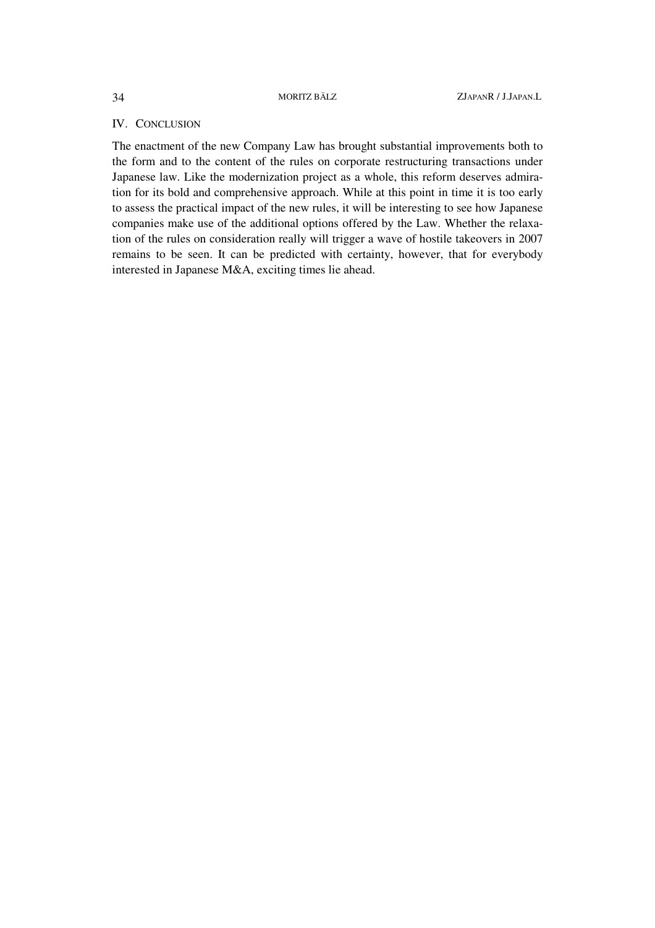# IV. CONCLUSION

The enactment of the new Company Law has brought substantial improvements both to the form and to the content of the rules on corporate restructuring transactions under Japanese law. Like the modernization project as a whole, this reform deserves admiration for its bold and comprehensive approach. While at this point in time it is too early to assess the practical impact of the new rules, it will be interesting to see how Japanese companies make use of the additional options offered by the Law. Whether the relaxation of the rules on consideration really will trigger a wave of hostile takeovers in 2007 remains to be seen. It can be predicted with certainty, however, that for everybody interested in Japanese M&A, exciting times lie ahead.